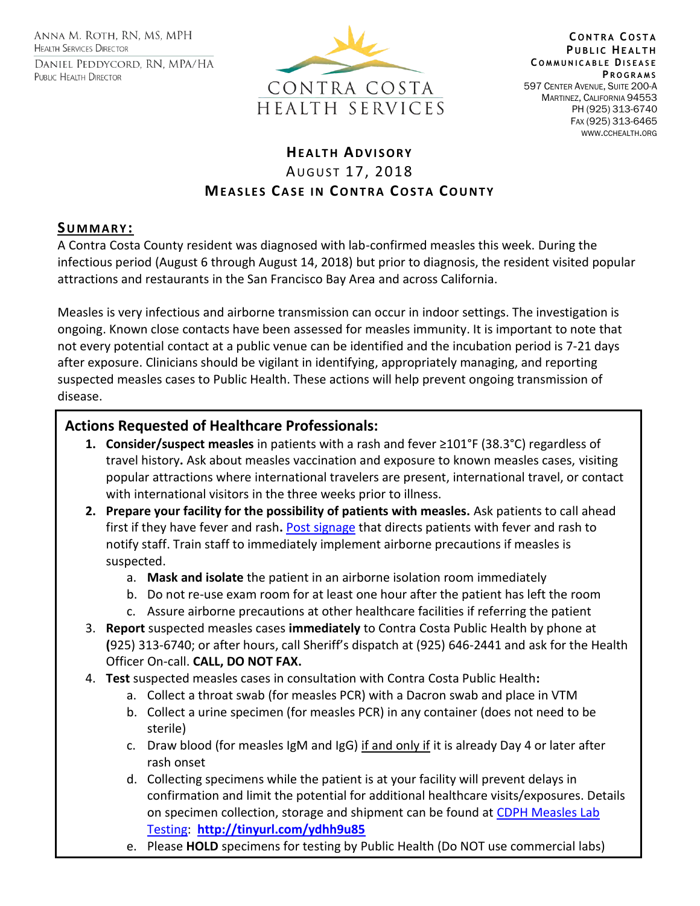ANNA M. ROTH, RN, MS, MPH **HEALTH SERVICES DIRECTOR** DANIEL PEDDYCORD, RN, MPA/HA PUBLIC HEALTH DIRECTOR



**C O N T R A C O S T A PUBLIC HEALTH C O M M U N I C A B L E DI S E A S E P R O G R A M S** 597 CENTER AVENUE, SUITE 200-A MARTINEZ, CALIFORNIA 94553 PH (925) 313-6740 FAX (925) 313-6465 WWW.CCHEALTH.ORG

## **HEALTH ADVISORY** AUGUST 17, 2018 **MEASLES CASE IN CONTRA COSTA COUNTY**

## **SU M M A R Y :**

A Contra Costa County resident was diagnosed with lab-confirmed measles this week. During the infectious period (August 6 through August 14, 2018) but prior to diagnosis, the resident visited popular attractions and restaurants in the San Francisco Bay Area and across California.

Measles is very infectious and airborne transmission can occur in indoor settings. The investigation is ongoing. Known close contacts have been assessed for measles immunity. It is important to note that not every potential contact at a public venue can be identified and the incubation period is 7-21 days after exposure. Clinicians should be vigilant in identifying, appropriately managing, and reporting suspected measles cases to Public Health. These actions will help prevent ongoing transmission of disease.

## **Actions Requested of Healthcare Professionals:**

- **1. Consider/suspect measles** in patients with a rash and fever ≥101°F (38.3°C) regardless of travel history**.** Ask about measles vaccination and exposure to known measles cases, visiting popular attractions where international travelers are present, international travel, or contact with international visitors in the three weeks prior to illness.
- **2. Prepare your facility for the possibility of patients with measles.** Ask patients to call ahead first if they have fever and rash**.** [Post signage](http://eziz.org/assets/docs/IMM-908.pdf) that directs patients with fever and rash to notify staff. Train staff to immediately implement airborne precautions if measles is suspected.
	- a. **Mask and isolate** the patient in an airborne isolation room immediately
	- b. Do not re-use exam room for at least one hour after the patient has left the room
	- c. Assure airborne precautions at other healthcare facilities if referring the patient
- 3. **Report** suspected measles cases **immediately** to Contra Costa Public Health by phone at **(**925) 313-6740; or after hours, call Sheriff's dispatch at (925) 646-2441 and ask for the Health Officer On-call. **CALL, DO NOT FAX.**
- 4. **Test** suspected measles cases in consultation with Contra Costa Public Health**:** 
	- a. Collect a throat swab (for measles PCR) with a Dacron swab and place in VTM
	- b. Collect a urine specimen (for measles PCR) in any container (does not need to be sterile)
	- c. Draw blood (for measles IgM and IgG) if and only if it is already Day 4 or later after rash onset
	- d. Collecting specimens while the patient is at your facility will prevent delays in confirmation and limit the potential for additional healthcare visits/exposures. Details on specimen collection, storage and shipment can be found at CDPH Measles Lab [Testing:](file:///C:/Users/erpan/Desktop/CDPH%20Measles%20Lab%20Testing) **<http://tinyurl.com/ydhh9u85>**
	- e. Please **HOLD** specimens for testing by Public Health (Do NOT use commercial labs)